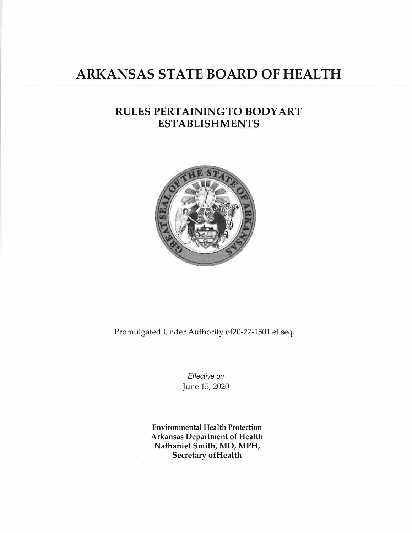# **ARKANSAS STATE BOARD OF HEALTH**

## **RULES PERTAININGTO BODYART ESTABLISHMENTS**



Promulgated Under Authority of20-27-1501 et seq.

*Effective on* June 15, 2020

**Environmental Health Protection Arkansas Department of Health Nathaniel Smith, MD, MPH, Secretary ofHealth**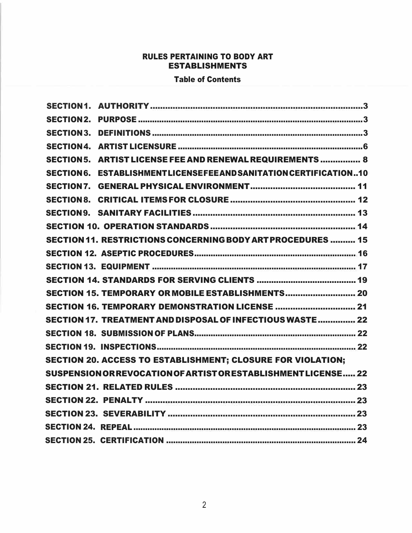## RULES PERTAINING TO BODY ART ESTABLISHMENTS

## Table of Contents

| SECTION 5. ARTIST LICENSE FEE AND RENEWAL REQUIREMENTS  8          |
|--------------------------------------------------------------------|
| SECTION 6. ESTABLISHMENTLICENSEFEE AND SANITATION CERTIFICATION10  |
|                                                                    |
|                                                                    |
|                                                                    |
|                                                                    |
| SECTION 11. RESTRICTIONS CONCERNING BODY ART PROCEDURES  15        |
|                                                                    |
|                                                                    |
|                                                                    |
| SECTION 15. TEMPORARY OR MOBILE ESTABLISHMENTS 20                  |
| SECTION 16. TEMPORARY DEMONSTRATION LICENSE  21                    |
| SECTION 17. TREATMENT AND DISPOSAL OF INFECTIOUS WASTE  22         |
|                                                                    |
|                                                                    |
| <b>SECTION 20. ACCESS TO ESTABLISHMENT; CLOSURE FOR VIOLATION;</b> |
| SUSPENSION OR REVOCATION OF ARTIST OR ESTABLISHMENT LICENSE 22     |
|                                                                    |
|                                                                    |
|                                                                    |
|                                                                    |
|                                                                    |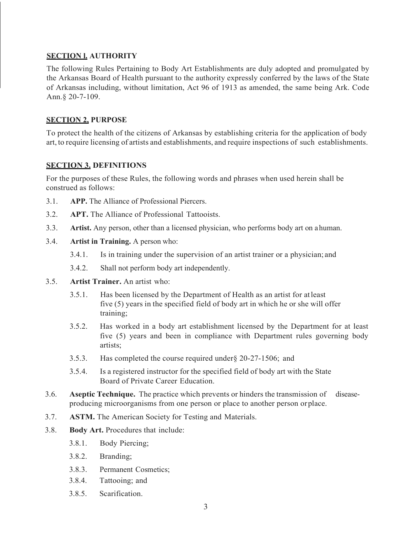#### **SECTION l. AUTHORITY**

The following Rules Pertaining to Body Art Establishments are duly adopted and promulgated by the Arkansas Board of Health pursuant to the authority expressly conferred by the laws of the State of Arkansas including, without limitation, Act 96 of 1913 as amended, the same being Ark. Code Ann.§ 20-7-109.

#### <span id="page-2-0"></span>**SECTION 2, PURPOSE**

To protect the health of the citizens of Arkansas by establishing criteria for the application of body art, to require licensing of artists and establishments, and require inspections of such establishments.

#### <span id="page-2-1"></span>**SECTION 3. DEFINITIONS**

For the purposes of these Rules, the following words and phrases when used herein shall be construed as follows:

- 3.1. **APP.** The Alliance of Professional Piercers.
- 3.2. **APT.** The Alliance of Professional Tattooists.
- 3.3. **Artist.** Any person, other than a licensed physician, who performs body art on ahuman.
- 3.4. **Artist in Training.** A person who:
	- 3.4.1. Is in training under the supervision of an artist trainer or a physician; and
	- 3.4.2. Shall not perform body art independently.
- 3.5. **Artist Trainer.** An artist who:
	- 3.5.1. Has been licensed by the Department of Health as an artist for atleast five (5) years in the specified field of body art in which he or she will offer training;
	- 3.5.2. Has worked in a body art establishment licensed by the Department for at least five (5) years and been in compliance with Department rules governing body artists;
	- 3.5.3. Has completed the course required under§ 20-27-1506; and
	- 3.5.4. Is a registered instructor for the specified field of body art with the State Board of Private Career Education.
- 3.6. **Aseptic Technique.** The practice which prevents or hinders the transmission of diseaseproducing microorganisms from one person or place to another person orplace.
- 3.7. **ASTM.** The American Society for Testing and Materials.
- 3.8. **Body Art.** Procedures that include:
	- 3.8.1. Body Piercing;
	- 3.8.2. Branding;
	- 3.8.3. Permanent Cosmetics;
	- 3.8.4. Tattooing; and
	- 3.8.5. Scarification.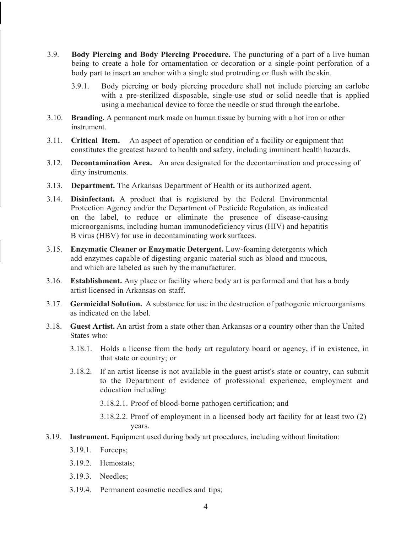- 3.9. **Body Piercing and Body Piercing Procedure.** The puncturing of a part of a live human being to create a hole for ornamentation or decoration or a single-point perforation of a body part to insert an anchor with a single stud protruding or flush with the skin.
	- 3.9.1. Body piercing or body piercing procedure shall not include piercing an earlobe with a pre-sterilized disposable, single-use stud or solid needle that is applied using a mechanical device to force the needle or stud through the earlobe.
- 3.10. **Branding.** A permanent mark made on human tissue by burning with a hot iron or other instrument.
- 3.11. **Critical Item.** An aspect of operation or condition of a facility or equipment that constitutes the greatest hazard to health and safety, including imminent health hazards.
- 3.12. **Decontamination Area.** An area designated for the decontamination and processing of dirty instruments.
- 3.13. **Department.** The Arkansas Department of Health or its authorized agent.
- 3.14. **Disinfectant.** A product that is registered by the Federal Environmental Protection Agency and/or the Department of Pesticide Regulation, as indicated on the label, to reduce or eliminate the presence of disease-causing microorganisms, including human immunodeficiency virus (HIV) and hepatitis B virus (HBV) for use in decontaminating work surfaces.
- 3.15. **Enzymatic Cleaner or Enzymatic Detergent.** Low-foaming detergents which add enzymes capable of digesting organic material such as blood and mucous, and which are labeled as such by the manufacturer.
- 3.16. **Establishment.** Any place or facility where body art is performed and that has a body artist licensed in Arkansas on staff.
- 3.17. **Germicidal Solution.** A substance for use in the destruction of pathogenic microorganisms as indicated on the label.
- 3.18. **Guest Artist.** An artist from a state other than Arkansas or a country other than the United States who:
	- 3.18.1. Holds a license from the body art regulatory board or agency, if in existence, in that state or country; or
	- 3.18.2. If an artist license is not available in the guest artist's state or country, can submit to the Department of evidence of professional experience, employment and education including:
		- 3.18.2.1. Proof of blood-borne pathogen certification; and
		- 3.18.2.2. Proof of employment in a licensed body art facility for at least two (2) years.
- 3.19. **Instrument.** Equipment used during body art procedures, including without limitation:
	- 3.19.1. Forceps;
	- 3.19.2. Hemostats;
	- 3.19.3. Needles;
	- 3.19.4. Permanent cosmetic needles and tips;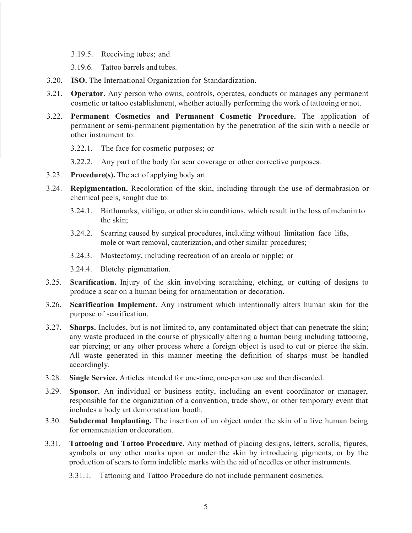- 3.19.5. Receiving tubes; and
- 3.19.6. Tattoo barrels and tubes.
- 3.20. **ISO.** The International Organization for Standardization.
- 3.21. **Operator.** Any person who owns, controls, operates, conducts or manages any permanent cosmetic or tattoo establishment, whether actually performing the work of tattooing or not.
- 3.22. **Permanent Cosmetics and Permanent Cosmetic Procedure.** The application of permanent or semi-permanent pigmentation by the penetration of the skin with a needle or other instrument to:
	- 3.22.1. The face for cosmetic purposes; or
	- 3.22.2. Any part of the body for scar coverage or other corrective purposes.
- 3.23. **Procedure(s).** The act of applying body art.
- 3.24. **Repigmentation.** Recoloration of the skin, including through the use of dermabrasion or chemical peels, sought due to:
	- 3.24.1. Birthmarks, vitiligo, or other skin conditions, which result in the loss of melanin to the skin;
	- 3.24.2. Scarring caused by surgical procedures, including without limitation face lifts, mole or wart removal, cauterization, and other similar procedures;
	- 3.24.3. Mastectomy, including recreation of an areola or nipple; or
	- 3.24.4. Blotchy pigmentation.
- 3.25. **Scarification.** Injury of the skin involving scratching, etching, or cutting of designs to produce a scar on a human being for ornamentation or decoration.
- 3.26. **Scarification Implement.** Any instrument which intentionally alters human skin for the purpose of scarification.
- 3.27. **Sharps.** Includes, but is not limited to, any contaminated object that can penetrate the skin; any waste produced in the course of physically altering a human being including tattooing, ear piercing; or any other process where a foreign object is used to cut or pierce the skin. All waste generated in this manner meeting the definition of sharps must be handled accordingly.
- 3.28. **Single Service.** Articles intended for one-time, one-person use and thendiscarded.
- 3.29. **Sponsor.** An individual or business entity, including an event coordinator or manager, responsible for the organization of a convention, trade show, or other temporary event that includes a body art demonstration booth.
- 3.30. **Subdermal Implanting.** The insertion of an object under the skin of a live human being for ornamentation ordecoration.
- 3.31. **Tattooing and Tattoo Procedure.** Any method of placing designs, letters, scrolls, figures, symbols or any other marks upon or under the skin by introducing pigments, or by the production of scars to form indelible marks with the aid of needles or other instruments.
	- 3.31.1. Tattooing and Tattoo Procedure do not include permanent cosmetics.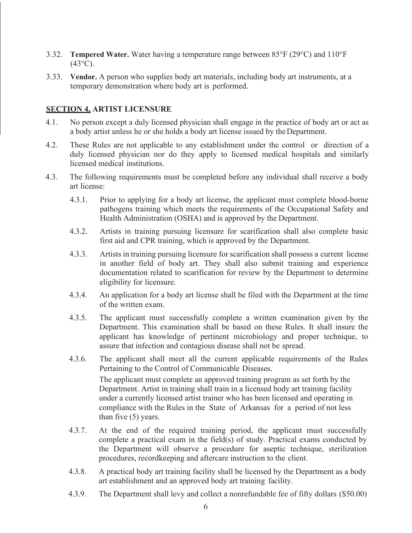- 3.32. **Tempered Water.** Water having a temperature range between 85°F (29°C) and 110°F  $(43^{\circ}C).$
- 3.33. **Vendor.** A person who supplies body art materials, including body art instruments, at a temporary demonstration where body art is performed.

## <span id="page-5-0"></span>**SECTION 4, ARTIST LICENSURE**

- 4.1. No person except a duly licensed physician shall engage in the practice of body art or act as a body artist unless he or she holds a body art license issued by theDepartment.
- 4.2. These Rules are not applicable to any establishment under the control or direction of a duly licensed physician nor do they apply to licensed medical hospitals and similarly licensed medical institutions.
- 4.3. The following requirements must be completed before any individual shall receive a body art license:
	- 4.3.1. Prior to applying for a body art license, the applicant must complete blood-borne pathogens training which meets the requirements of the Occupational Safety and Health Administration (OSHA) and is approved by the Department.
	- 4.3.2. Artists in training pursuing licensure for scarification shall also complete basic first aid and CPR training, which is approved by the Department.
	- 4.3.3. Artists in training pursuing licensure for scarification shall possess a current license in another field of body art. They shall also submit training and experience documentation related to scarification for review by the Department to determine eligibility for licensure.
	- 4.3.4. An application for a body art license shall be filed with the Department at the time of the written exam.
	- 4.3.5. The applicant must successfully complete a written examination given by the Department. This examination shall be based on these Rules. It shall insure the applicant has knowledge of pertinent microbiology and proper technique, to assure that infection and contagious disease shall not be spread.
	- 4.3.6. The applicant shall meet all the current applicable requirements of the Rules Pertaining to the Control of Communicable Diseases. The applicant must complete an approved training program as set forth by the Department. Artist in training shall train in a licensed body art training facility under a currently licensed artist trainer who has been licensed and operating in compliance with the Rules in the State of Arkansas for a period of not less than five (5) years.
	- 4.3.7. At the end of the required training period, the applicant must successfully complete a practical exam in the field(s) of study. Practical exams conducted by the Department will observe a procedure for aseptic technique, sterilization procedures, recordkeeping and aftercare instruction to the client.
	- 4.3.8. A practical body art training facility shall be licensed by the Department as a body art establishment and an approved body art training facility.
	- 4.3.9. The Department shall levy and collect a nonrefundable fee of fifty dollars (\$50.00)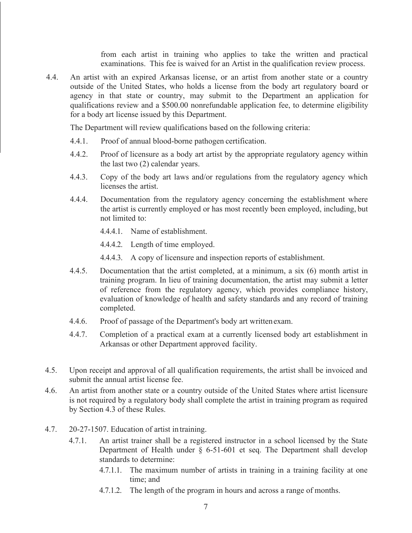from each artist in training who applies to take the written and practical examinations. This fee is waived for an Artist in the qualification review process.

4.4. An artist with an expired Arkansas license, or an artist from another state or a country outside of the United States, who holds a license from the body art regulatory board or agency in that state or country, may submit to the Department an application for qualifications review and a \$500.00 nonrefundable application fee, to determine eligibility for a body art license issued by this Department.

The Department will review qualifications based on the following criteria:

- 4.4.1. Proof of annual blood-borne pathogen certification.
- 4.4.2. Proof of licensure as a body art artist by the appropriate regulatory agency within the last two (2) calendar years.
- 4.4.3. Copy of the body art laws and/or regulations from the regulatory agency which licenses the artist.
- 4.4.4. Documentation from the regulatory agency concerning the establishment where the artist is currently employed or has most recently been employed, including, but not limited to:
	- 4.4.4.1. Name of establishment.
	- 4.4.4.2. Length of time employed.
	- 4.4.4.3. A copy of licensure and inspection reports of establishment.
- 4.4.5. Documentation that the artist completed, at a minimum, a six (6) month artist in training program. In lieu of training documentation, the artist may submit a letter of reference from the regulatory agency, which provides compliance history, evaluation of knowledge of health and safety standards and any record of training completed.
- 4.4.6. Proof of passage of the Department's body art writtenexam.
- 4.4.7. Completion of a practical exam at a currently licensed body art establishment in Arkansas or other Department approved facility.
- 4.5. Upon receipt and approval of all qualification requirements, the artist shall be invoiced and submit the annual artist license fee.
- 4.6. An artist from another state or a country outside of the United States where artist licensure is not required by a regulatory body shall complete the artist in training program as required by Section 4.3 of these Rules.
- 4.7. 20-27-1507. Education of artist in training.
	- 4.7.1. An artist trainer shall be a registered instructor in a school licensed by the State Department of Health under § 6-51-601 et seq. The Department shall develop standards to determine:
		- 4.7.1.1. The maximum number of artists in training in a training facility at one time; and
		- 4.7.1.2. The length of the program in hours and across a range of months.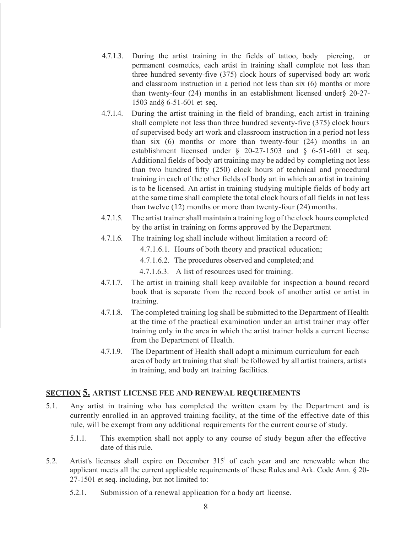- 4.7.1.3. During the artist training in the fields of tattoo, body piercing, or permanent cosmetics, each artist in training shall complete not less than three hundred seventy-five (375) clock hours of supervised body art work and classroom instruction in a period not less than six (6) months or more than twenty-four (24) months in an establishment licensed under§ 20-27- 1503 and§ 6-51-601 et seq.
- 4.7.1.4. During the artist training in the field of branding, each artist in training shall complete not less than three hundred seventy-five (375) clock hours of supervised body art work and classroom instruction in a period not less than six (6) months or more than twenty-four (24) months in an establishment licensed under § 20-27-1503 and § 6-51-601 et seq. Additional fields of body art training may be added by completing not less than two hundred fifty (250) clock hours of technical and procedural training in each of the other fields of body art in which an artist in training is to be licensed. An artist in training studying multiple fields of body art at the same time shall complete the total clock hours of all fields in not less than twelve (12) months or more than twenty-four (24) months.
- 4.7.1.5. The artist trainer shall maintain a training log of the clock hours completed by the artist in training on forms approved by the Department
- 4.7.1.6. The training log shall include without limitation a record of:
	- 4.7.1.6.1. Hours of both theory and practical education;
	- 4.7.1.6.2. The procedures observed and completed; and
	- 4.7.1.6.3. A list of resources used for training.
- 4.7.1.7. The artist in training shall keep available for inspection a bound record book that is separate from the record book of another artist or artist in training.
- 4.7.1.8. The completed training log shall be submitted to the Department of Health at the time of the practical examination under an artist trainer may offer training only in the area in which the artist trainer holds a current license from the Department of Health.
- 4.7.1.9. The Department of Health shall adopt a minimum curriculum for each area of body art training that shall be followed by all artist trainers, artists in training, and body art training facilities.

## <span id="page-7-0"></span>**SECTION 5. ARTIST LICENSE FEE AND RENEWAL REQUIREMENTS**

- 5.1. Any artist in training who has completed the written exam by the Department and is currently enrolled in an approved training facility, at the time of the effective date of this rule, will be exempt from any additional requirements for the current course of study.
	- 5.1.1. This exemption shall not apply to any course of study begun after the effective date of this rule.
- 5.2. Artist's licenses shall expire on December  $315<sup>1</sup>$  of each year and are renewable when the applicant meets all the current applicable requirements of these Rules and Ark. Code Ann. § 20- 27-1501 et seq. including, but not limited to:
	- 5.2.1. Submission of a renewal application for a body art license.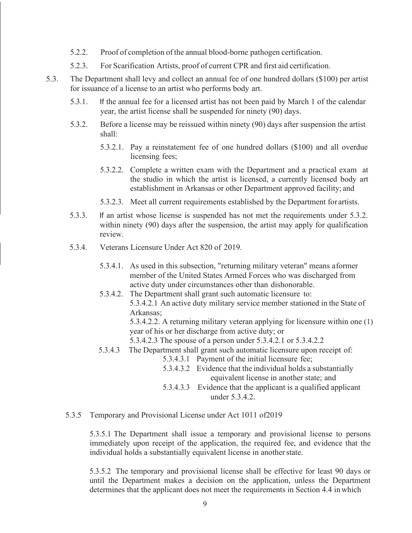- 5.2.2. Proof of completion of the annual blood-borne pathogen certification.
- 5.2.3. For Scarification Artists, proof of current CPR and first aid certification.
- 5.3. The Department shall levy and collect an annual fee of one hundred dollars (\$100) per artist for issuance of a license to an artist who performs body art.
	- 5.3.1. If the annual fee for a licensed artist has not been paid by March 1 of the calendar year, the artist license shall be suspended for ninety (90) days.
	- 5.3.2. Before a license may be reissued within ninety (90) days after suspension the artist shall:
		- 5.3.2.1. Pay a reinstatement fee of one hundred dollars (\$100) and all overdue licensing fees;
		- 5.3.2.2. Complete a written exam with the Department and a practical exam at the studio in which the artist is licensed, a currently licensed body art establishment in Arkansas or other Department approved facility; and
		- 5.3.2.3. Meet all current requirements established by the Department for artists.
	- 5.3.3. If an artist whose license is suspended has not met the requirements under 5.3.2. within ninety (90) days after the suspension, the artist may apply for qualification review.
	- 5.3.4. Veterans Licensure Under Act 820 of 2019.
		- 5.3.4.1. As used in this subsection, "returning military veteran" means aformer member of the United States Armed Forces who was discharged from active duty under circumstances other than dishonorable.
		- 5.3.4.2. The Department shall grant such automatic licensure to: 5.3.4.2.1 An active duty military service member stationed in the State of Arkansas;

5.3.4.2.2. A returning military veteran applying for licensure within one (1) year of his or her discharge from active duty; or

- 5.3.4.2.3 The spouse of a person under 5.3.4.2.1 or 5.3.4.2.2
- 5.3.4.3 The Department shall grant such automatic licensure upon receipt of:
	- 5.3.4.3.1 Payment of the initial licensure fee;
	- 5.3.4.3.2 Evidence that the individual holds a substantially equivalent license in another state; and
	- 5.3.4.3.3 Evidence that the applicant is a qualified applicant under 5.3.4.2.
- 5.3.5 Temporary and Provisional License under Act 1011 of2019

5.3.5.1 The Department shall issue a temporary and provisional license to persons immediately upon receipt of the application, the required fee, and evidence that the individual holds a substantially equivalent license in another state.

5.3.5.2 The temporary and provisional license shall be effective for least 90 days or until the Department makes a decision on the application, unless the Department determines that the applicant does not meet the requirements in Section 4.4 inwhich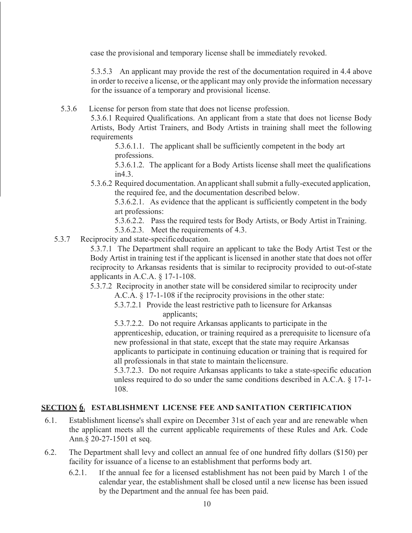case the provisional and temporary license shall be immediately revoked.

5.3.5.3 An applicant may provide the rest of the documentation required in 4.4 above in order to receive a license, or the applicant may only provide the information necessary for the issuance of a temporary and provisional license.

5.3.6 License for person from state that does not license profession.

5.3.6.1 Required Qualifications. An applicant from a state that does not license Body Artists, Body Artist Trainers, and Body Artists in training shall meet the following requirements

5.3.6.1.1. The applicant shall be sufficiently competent in the body art professions.

5.3.6.1.2. The applicant for a Body Artists license shall meet the qualifications in4.3.

5.3.6.2 Required documentation. An applicant shall submit a fully-executed application, the required fee, and the documentation described below.

5.3.6.2.1. As evidence that the applicant is sufficiently competent in the body art professions:

5.3.6.2.2. Pass the required tests for Body Artists, or Body Artist inTraining.

5.3.6.2.3. Meet the requirements of 4.3.

5.3.7 Reciprocity and state-specificeducation.

5.3.7.1 The Department shall require an applicant to take the Body Artist Test or the Body Artist in training test if the applicant is licensed in another state that does not offer reciprocity to Arkansas residents that is similar to reciprocity provided to out-of-state applicants in A.C.A. § 17-1-108.

5.3.7.2 Reciprocity in another state will be considered similar to reciprocity under A.C.A. § 17-1-108 if the reciprocity provisions in the other state:

5.3.7.2.1 Provide the least restrictive path to licensure for Arkansas applicants;

5.3.7.2.2. Do not require Arkansas applicants to participate in the apprenticeship, education, or training required as a prerequisite to licensure ofa new professional in that state, except that the state may require Arkansas applicants to participate in continuing education or training that is required for all professionals in that state to maintain thelicensure.

5.3.7.2.3. Do not require Arkansas applicants to take a state-specific education unless required to do so under the same conditions described in A.C.A. § 17-1- 108.

## **SECTION 61 ESTABLISHMENT LICENSE FEE AND SANITATION CERTIFICATION**

- 6.1. Establishment license's shall expire on December 31st of each year and are renewable when the applicant meets all the current applicable requirements of these Rules and Ark. Code Ann.§ 20-27-1501 et seq.
- 6.2. The Department shall levy and collect an annual fee of one hundred fifty dollars (\$150) per facility for issuance of a license to an establishment that performs body art.
	- 6.2.1. If the annual fee for a licensed establishment has not been paid by March 1 of the calendar year, the establishment shall be closed until a new license has been issued by the Department and the annual fee has been paid.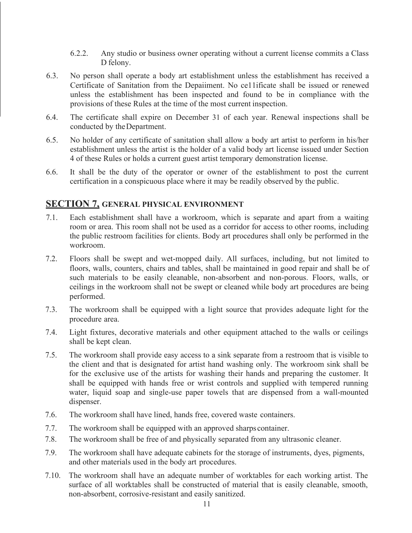- 6.2.2. Any studio or business owner operating without a current license commits a Class D felony.
- 6.3. No person shall operate a body art establishment unless the establishment has received a Certificate of Sanitation from the Depaiiment. No ce11ificate shall be issued or renewed unless the establishment has been inspected and found to be in compliance with the provisions of these Rules at the time of the most current inspection.
- 6.4. The certificate shall expire on December 31 of each year. Renewal inspections shall be conducted by theDepartment.
- 6.5. No holder of any certificate of sanitation shall allow a body art artist to perform in his/her establishment unless the artist is the holder of a valid body art license issued under Section 4 of these Rules or holds a current guest artist temporary demonstration license.
- 6.6. It shall be the duty of the operator or owner of the establishment to post the current certification in a conspicuous place where it may be readily observed by the public.

## **SECTION 7, GENERAL PHYSICAL ENVIRONMENT**

- 7.1. Each establishment shall have a workroom, which is separate and apart from a waiting room or area. This room shall not be used as a corridor for access to other rooms, including the public restroom facilities for clients. Body art procedures shall only be performed in the workroom.
- 7.2. Floors shall be swept and wet-mopped daily. All surfaces, including, but not limited to floors, walls, counters, chairs and tables, shall be maintained in good repair and shall be of such materials to be easily cleanable, non-absorbent and non-porous. Floors, walls, or ceilings in the workroom shall not be swept or cleaned while body art procedures are being performed.
- 7.3. The workroom shall be equipped with a light source that provides adequate light for the procedure area.
- 7.4. Light fixtures, decorative materials and other equipment attached to the walls or ceilings shall be kept clean.
- 7.5. The workroom shall provide easy access to a sink separate from a restroom that is visible to the client and that is designated for artist hand washing only. The workroom sink shall be for the exclusive use of the artists for washing their hands and preparing the customer. It shall be equipped with hands free or wrist controls and supplied with tempered running water, liquid soap and single-use paper towels that are dispensed from a wall-mounted dispenser.
- 7.6. The workroom shall have lined, hands free, covered waste containers.
- 7.7. The workroom shall be equipped with an approved sharps container.
- 7.8. The workroom shall be free of and physically separated from any ultrasonic cleaner.
- 7.9. The workroom shall have adequate cabinets for the storage of instruments, dyes, pigments, and other materials used in the body art procedures.
- 7.10. The workroom shall have an adequate number of worktables for each working artist. The surface of all worktables shall be constructed of material that is easily cleanable, smooth, non-absorbent, corrosive-resistant and easily sanitized.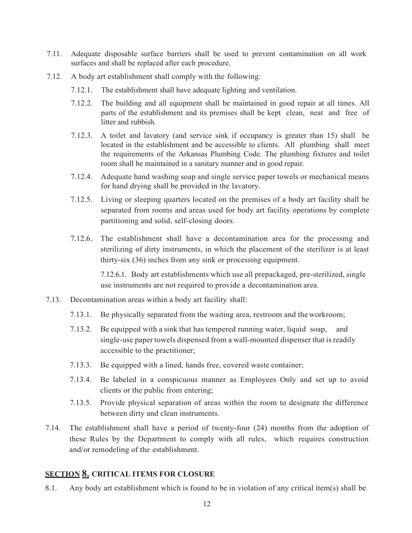- 7.11. Adequate disposable surface barriers shall be used to prevent contamination on all work surfaces and shall be replaced after each procedure.
- 7.12. A body art establishment shall comply with the following:
	- 7.12.1. The establishment shall have adequate lighting and ventilation.
	- 7.12.2. The building and all equipment shall be maintained in good repair at all times. All parts of the establishment and its premises shall be kept clean, neat and free of litter and rubbish.
	- 7.12.3. A toilet and lavatory (and service sink if occupancy is greater than 15) shall be located in the establishment and be accessible to clients. All plumbing shall meet the requirements of the Arkansas Plumbing Code. The plumbing fixtures and toilet room shall be maintained in a sanitary manner and in good repair.
	- 7.12.4. Adequate hand washing soap and single service paper towels or mechanical means for hand drying shall be provided in the lavatory.
	- 7.12.5. Living or sleeping quarters located on the premises of a body art facility shall be separated from rooms and areas used for body art facility operations by complete partitioning and solid, self-closing doors.
	- 7.12.6. The establishment shall have a decontamination area for the processmg and sterilizing of dirty instruments, in which the placement of the sterilizer is at least thirty-six (36) inches from any sink or processing equipment.

7.12.6.1. Body art establishments which use all prepackaged, pre-sterilized, single use instruments are not required to provide a decontamination area.

- 7.13. Decontamination areas within a body art facility shall:
	- 7.13.1. Be physically separated from the waiting area, restroom and the workroom;
	- 7.13.2. Be equipped with a sink that has tempered running water, liquid soap, and single-use paper towels dispensed from a wall-mounted dispenser that is readily accessible to the practitioner;
	- 7.13.3. Be equipped with a lined, hands free, covered waste container;
	- 7.13.4. Be labeled in a conspicuous manner as Employees Only and set up to avoid clients or the public from entering;
	- 7.13.5. Provide physical separation of areas within the room to designate the difference between dirty and clean instruments.
- 7.14. The establishment shall have a period of twenty-four (24) months from the adoption of these Rules by the Department to comply with all rules, which requires construction and/or remodeling of the establishment.

## <span id="page-11-0"></span>**SECTION 8. CRITICAL ITEMS FOR CLOSURE**

8.1. Any body art establishment which is found to be in violation of any critical item(s) shall be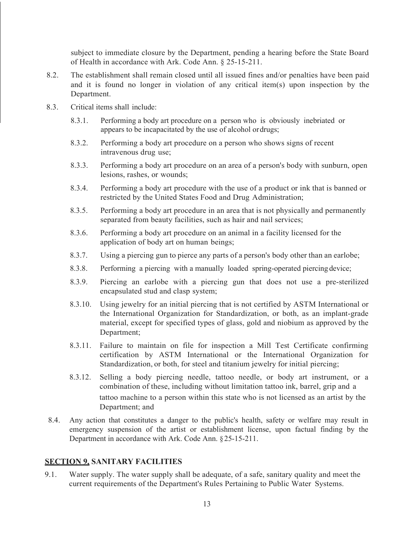subject to immediate closure by the Department, pending a hearing before the State Board of Health in accordance with Ark. Code Ann. § 25-15-211.

- 8.2. The establishment shall remain closed until all issued fines and/or penalties have been paid and it is found no longer in violation of any critical item(s) upon inspection by the Department.
- 8.3. Critical items shall include:
	- 8.3.1. Performing a body art procedure on a person who is obviously inebriated or appears to be incapacitated by the use of alcohol ordrugs;
	- 8.3.2. Performing a body art procedure on a person who shows signs of recent intravenous drug use;
	- 8.3.3. Performing a body art procedure on an area of a person's body with sunburn, open lesions, rashes, or wounds;
	- 8.3.4. Performing a body art procedure with the use of a product or ink that is banned or restricted by the United States Food and Drug Administration;
	- 8.3.5. Performing a body art procedure in an area that is not physically and permanently separated from beauty facilities, such as hair and nail services;
	- 8.3.6. Performing a body art procedure on an animal in a facility licensed for the application of body art on human beings;
	- 8.3.7. Using a piercing gun to pierce any parts of a person's body other than an earlobe;
	- 8.3.8. Performing a piercing with a manually loaded spring-operated piercing device;
	- 8.3.9. Piercing an earlobe with a piercing gun that does not use a pre-sterilized encapsulated stud and clasp system;
	- 8.3.10. Using jewelry for an initial piercing that is not certified by ASTM International or the International Organization for Standardization, or both, as an implant-grade material, except for specified types of glass, gold and niobium as approved by the Department;
	- 8.3.11. Failure to maintain on file for inspection a Mill Test Certificate confirming certification by ASTM International or the International Organization for Standardization, or both, for steel and titanium jewelry for initial piercing;
	- 8.3.12. Selling a body piercing needle, tattoo needle, or body art instrument, or a combination of these, including without limitation tattoo ink, barrel, grip and a tattoo machine to a person within this state who is not licensed as an artist by the Department; and
- 8.4. Any action that constitutes a danger to the public's health, safety or welfare may result in emergency suspension of the artist or establishment license, upon factual finding by the Department in accordance with Ark. Code Ann. §25-15-211.

## <span id="page-12-0"></span>**SECTION 9, SANITARY FACILITIES**

9.1. Water supply. The water supply shall be adequate, of a safe, sanitary quality and meet the current requirements of the Department's Rules Pertaining to Public Water Systems.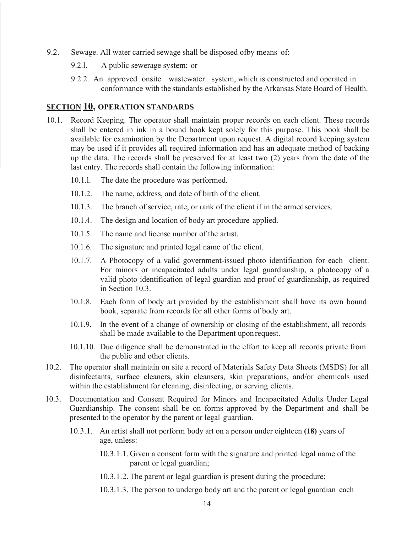- 9.2. Sewage. All water carried sewage shall be disposed ofby means of:
	- 9.2.l. A public sewerage system; or
	- 9.2.2. An approved onsite wastewater system, which is constructed and operated in conformance with the standards established by the Arkansas State Board of Health.

#### <span id="page-13-0"></span>**SECTION 10, OPERATION STANDARDS**

- 10.1. Record Keeping. The operator shall maintain proper records on each client. These records shall be entered in ink in a bound book kept solely for this purpose. This book shall be available for examination by the Department upon request. A digital record keeping system may be used if it provides all required information and has an adequate method of backing up the data. The records shall be preserved for at least two (2) years from the date of the last entry. The records shall contain the following information:
	- 10.1.l. The date the procedure was performed.
	- 10.1.2. The name, address, and date of birth of the client.
	- 10.1.3. The branch of service, rate, or rank of the client if in the armedservices.
	- 10.1.4. The design and location of body art procedure applied.
	- 10.1.5. The name and license number of the artist.
	- 10.1.6. The signature and printed legal name of the client.
	- 10.1.7. A Photocopy of a valid government-issued photo identification for each client. For minors or incapacitated adults under legal guardianship, a photocopy of a valid photo identification of legal guardian and proof of guardianship, as required in Section 10.3.
	- 10.1.8. Each form of body art provided by the establishment shall have its own bound book, separate from records for all other forms of body art.
	- 10.1.9. In the event of a change of ownership or closing of the establishment, all records shall be made available to the Department upon request.
	- 10.1.10. Due diligence shall be demonstrated in the effort to keep all records private from the public and other clients.
- 10.2. The operator shall maintain on site a record of Materials Safety Data Sheets (MSDS) for all disinfectants, surface cleaners, skin cleansers, skin preparations, and/or chemicals used within the establishment for cleaning, disinfecting, or serving clients.
- 10.3. Documentation and Consent Required for Minors and Incapacitated Adults Under Legal Guardianship. The consent shall be on forms approved by the Department and shall be presented to the operator by the parent or legal guardian.
	- 10.3.1. An artist shall not perform body art on a person under eighteen **(18)** years of age, unless:
		- 10.3.1.1. Given a consent form with the signature and printed legal name of the parent or legal guardian;
		- 10.3.1.2. The parent or legal guardian is present during the procedure;
		- 10.3.1.3. The person to undergo body art and the parent or legal guardian each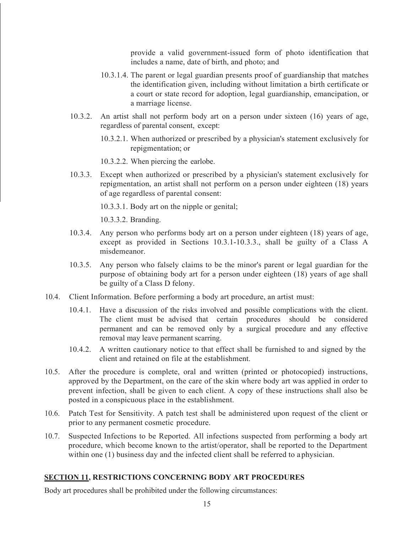provide a valid government-issued form of photo identification that includes a name, date of birth, and photo; and

- 10.3.1.4. The parent or legal guardian presents proof of guardianship that matches the identification given, including without limitation a birth certificate or a court or state record for adoption, legal guardianship, emancipation, or a marriage license.
- 10.3.2. An artist shall not perform body art on a person under sixteen (16) years of age, regardless of parental consent, except:
	- 10.3.2.1. When authorized or prescribed by a physician's statement exclusively for repigmentation; or

10.3.2.2. When piercing the earlobe.

10.3.3. Except when authorized or prescribed by a physician's statement exclusively for repigmentation, an artist shall not perform on a person under eighteen (18) years of age regardless of parental consent:

10.3.3.1. Body art on the nipple or genital;

10.3.3.2. Branding.

- 10.3.4. Any person who performs body art on a person under eighteen (18) years of age, except as provided in Sections 10.3.1-10.3.3., shall be guilty of a Class A misdemeanor.
- 10.3.5. Any person who falsely claims to be the minor's parent or legal guardian for the purpose of obtaining body art for a person under eighteen (18) years of age shall be guilty of a Class D felony.
- 10.4. Client Information. Before performing a body art procedure, an artist must:
	- 10.4.1. Have a discussion of the risks involved and possible complications with the client. The client must be advised that certain procedures should be considered permanent and can be removed only by a surgical procedure and any effective removal may leave permanent scarring.
	- 10.4.2. A written cautionary notice to that effect shall be furnished to and signed by the client and retained on file at the establishment.
- 10.5. After the procedure is complete, oral and written (printed or photocopied) instructions, approved by the Department, on the care of the skin where body art was applied in order to prevent infection, shall be given to each client. A copy of these instructions shall also be posted in a conspicuous place in the establishment.
- 10.6. Patch Test for Sensitivity. A patch test shall be administered upon request of the client or prior to any permanent cosmetic procedure.
- 10.7. Suspected Infections to be Reported. All infections suspected from performing a body art procedure, which become known to the artist/operator, shall be reported to the Department within one (1) business day and the infected client shall be referred to a physician.

#### <span id="page-14-0"></span>**SECTION 11, RESTRICTIONS CONCERNING BODY ART PROCEDURES**

Body art procedures shall be prohibited under the following circumstances: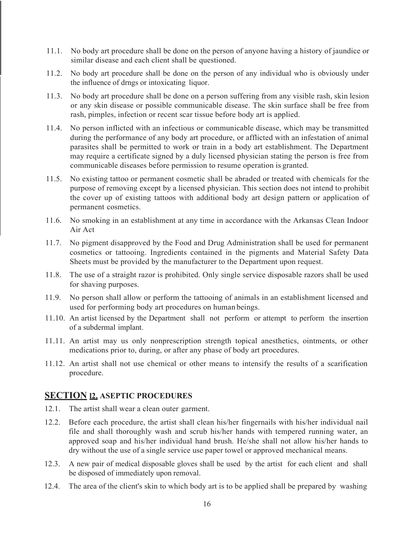- 11.1. No body art procedure shall be done on the person of anyone having a history of jaundice or similar disease and each client shall be questioned.
- 11.2. No body art procedure shall be done on the person of any individual who is obviously under the influence of drngs or intoxicating liquor.
- 11.3. No body art procedure shall be done on a person suffering from any visible rash, skin lesion or any skin disease or possible communicable disease. The skin surface shall be free from rash, pimples, infection or recent scar tissue before body art is applied.
- 11.4. No person inflicted with an infectious or communicable disease, which may be transmitted during the performance of any body art procedure, or afflicted with an infestation of animal parasites shall be permitted to work or train in a body art establishment. The Department may require a certificate signed by a duly licensed physician stating the person is free from communicable diseases before permission to resume operation is granted.
- 11.5. No existing tattoo or permanent cosmetic shall be abraded or treated with chemicals for the purpose of removing except by a licensed physician. This section does not intend to prohibit the cover up of existing tattoos with additional body art design pattern or application of permanent cosmetics.
- 11.6. No smoking in an establishment at any time in accordance with the Arkansas Clean Indoor Air Act
- 11.7. No pigment disapproved by the Food and Drug Administration shall be used for permanent cosmetics or tattooing. Ingredients contained in the pigments and Material Safety Data Sheets must be provided by the manufacturer to the Department upon request.
- 11.8. The use of a straight razor is prohibited. Only single service disposable razors shall be used for shaving purposes.
- 11.9. No person shall allow or perform the tattooing of animals in an establishment licensed and used for performing body art procedures on human beings.
- 11.10. An artist licensed by the Department shall not perform or attempt to perform the insertion of a subdermal implant.
- 11.11. An artist may us only nonprescription strength topical anesthetics, ointments, or other medications prior to, during, or after any phase of body art procedures.
- 11.12. An artist shall not use chemical or other means to intensify the results of a scarification procedure.

## **SECTION l2, ASEPTIC PROCEDURES**

- 12.1. The artist shall wear a clean outer garment.
- 12.2. Before each procedure, the artist shall clean his/her fingernails with his/her individual nail file and shall thoroughly wash and scrub his/her hands with tempered running water, an approved soap and his/her individual hand brush. He/she shall not allow his/her hands to dry without the use of a single service use paper towel or approved mechanical means.
- 12.3. A new pair of medical disposable gloves shall be used by the artist for each client and shall be disposed of immediately upon removal.
- 12.4. The area of the client's skin to which body art is to be applied shall be prepared by washing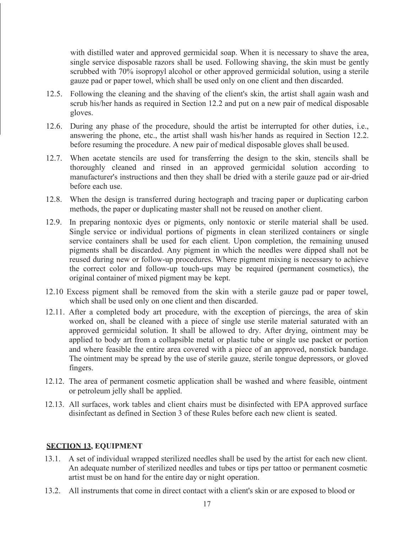with distilled water and approved germicidal soap. When it is necessary to shave the area, single service disposable razors shall be used. Following shaving, the skin must be gently scrubbed with 70% isopropyl alcohol or other approved germicidal solution, using a sterile gauze pad or paper towel, which shall be used only on one client and then discarded.

- 12.5. Following the cleaning and the shaving of the client's skin, the artist shall again wash and scrub his/her hands as required in Section 12.2 and put on a new pair of medical disposable gloves.
- 12.6. During any phase of the procedure, should the artist be interrupted for other duties, i.e., answering the phone, etc., the artist shall wash his/her hands as required in Section 12.2. before resuming the procedure. A new pair of medical disposable gloves shall be used.
- 12.7. When acetate stencils are used for transferring the design to the skin, stencils shall be thoroughly cleaned and rinsed in an approved germicidal solution according to manufacturer's instructions and then they shall be dried with a sterile gauze pad or air-dried before each use.
- 12.8. When the design is transferred during hectograph and tracing paper or duplicating carbon methods, the paper or duplicating master shall not be reused on another client.
- 12.9. In preparing nontoxic dyes or pigments, only nontoxic or sterile material shall be used. Single service or individual portions of pigments in clean sterilized containers or single service containers shall be used for each client. Upon completion, the remaining unused pigments shall be discarded. Any pigment in which the needles were dipped shall not be reused during new or follow-up procedures. Where pigment mixing is necessary to achieve the correct color and follow-up touch-ups may be required (permanent cosmetics), the original container of mixed pigment may be kept.
- 12.10 Excess pigment shall be removed from the skin with a sterile gauze pad or paper towel, which shall be used only on one client and then discarded.
- 12.11. After a completed body art procedure, with the exception of piercings, the area of skin worked on, shall be cleaned with a piece of single use sterile material saturated with an approved germicidal solution. It shall be allowed to dry. After drying, ointment may be applied to body art from a collapsible metal or plastic tube or single use packet or portion and where feasible the entire area covered with a piece of an approved, nonstick bandage. The ointment may be spread by the use of sterile gauze, sterile tongue depressors, or gloved fingers.
- 12.12. The area of permanent cosmetic application shall be washed and where feasible, ointment or petroleum jelly shall be applied.
- 12.13. All surfaces, work tables and client chairs must be disinfected with EPA approved surface disinfectant as defined in Section 3 of these Rules before each new client is seated.

## <span id="page-16-0"></span>**SECTION 13, EQUIPMENT**

- 13.1. A set of individual wrapped sterilized needles shall be used by the artist for each new client. An adequate number of sterilized needles and tubes or tips per tattoo or permanent cosmetic artist must be on hand for the entire day or night operation.
- 13.2. All instruments that come in direct contact with a client's skin or are exposed to blood or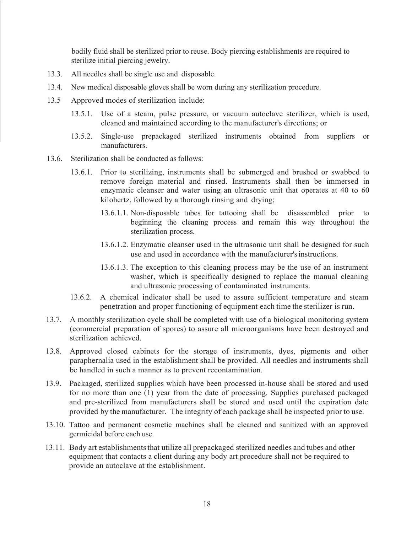bodily fluid shall be sterilized prior to reuse. Body piercing establishments are required to sterilize initial piercing jewelry.

- 13.3. All needles shall be single use and disposable.
- 13.4. New medical disposable gloves shall be worn during any sterilization procedure.
- 13.5 Approved modes of sterilization include:
	- 13.5.1. Use of a steam, pulse pressure, or vacuum autoclave sterilizer, which is used, cleaned and maintained according to the manufacturer's directions; or
	- 13.5.2. Single-use prepackaged sterilized instruments obtained from suppliers or manufacturers.
- 13.6. Sterilization shall be conducted as follows:
	- 13.6.1. Prior to sterilizing, instruments shall be submerged and brushed or swabbed to remove foreign material and rinsed. Instruments shall then be immersed in enzymatic cleanser and water using an ultrasonic unit that operates at 40 to 60 kilohertz, followed by a thorough rinsing and drying;
		- 13.6.1.1. Non-disposable tubes for tattooing shall be disassembled prior to beginning the cleaning process and remain this way throughout the sterilization process.
		- 13.6.1.2. Enzymatic cleanser used in the ultrasonic unit shall be designed for such use and used in accordance with the manufacturer'sinstructions.
		- 13.6.1.3. The exception to this cleaning process may be the use of an instrument washer, which is specifically designed to replace the manual cleaning and ultrasonic processing of contaminated instruments.
	- 13.6.2. A chemical indicator shall be used to assure sufficient temperature and steam penetration and proper functioning of equipment each time the sterilizer is run.
- 13.7. A monthly sterilization cycle shall be completed with use of a biological monitoring system (commercial preparation of spores) to assure all microorganisms have been destroyed and sterilization achieved.
- 13.8. Approved closed cabinets for the storage of instruments, dyes, pigments and other paraphernalia used in the establishment shall be provided. All needles and instruments shall be handled in such a manner as to prevent recontamination.
- 13.9. Packaged, sterilized supplies which have been processed in-house shall be stored and used for no more than one (1) year from the date of processing. Supplies purchased packaged and pre-sterilized from manufacturers shall be stored and used until the expiration date provided by the manufacturer. The integrity of each package shall be inspected prior to use.
- 13.10. Tattoo and permanent cosmetic machines shall be cleaned and sanitized with an approved germicidal before each use.
- 13.11. Body art establishmentsthat utilize all prepackaged sterilized needles and tubes and other equipment that contacts a client during any body art procedure shall not be required to provide an autoclave at the establishment.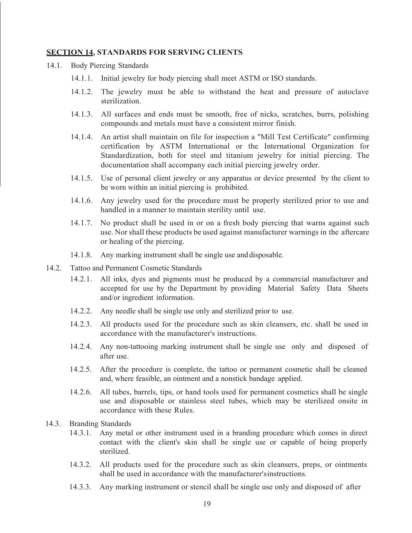#### <span id="page-18-0"></span>**SECTION 14, STANDARDS FOR SERVING CLIENTS**

- 14.1. Body Piercing Standards
	- 14.1.1. Initial jewelry for body piercing shall meet ASTM or ISO standards.
	- 14.1.2. The jewelry must be able to withstand the heat and pressure of autoclave sterilization.
	- 14.1.3. All surfaces and ends must be smooth, free of nicks, scratches, burrs, polishing compounds and metals must have a consistent mirror finish.
	- 14.1.4. An artist shall maintain on file for inspection a "Mill Test Certificate" confirming certification by ASTM International or the International Organization for Standardization, both for steel and titanium jewelry for initial piercing. The documentation shall accompany each initial piercing jewelry order.
	- 14.1.5. Use of personal client jewelry or any apparatus or device presented by the client to be worn within an initial piercing is prohibited.
	- 14.1.6. Any jewelry used for the procedure must be properly sterilized prior to use and handled in a manner to maintain sterility until use.
	- 14.1.7. No product shall be used in or on a fresh body piercing that warns against such use. Nor shall these products be used against manufacturer warnings in the aftercare or healing of the piercing.
	- 14.1.8. Any marking instrument shall be single use and disposable.
- 14.2. Tattoo and Permanent Cosmetic Standards
	- 14.2.1. All inks, dyes and pigments must be produced by a commercial manufacturer and accepted for use by the Department by providing Material Safety Data Sheets and/or ingredient information.
	- 14.2.2. Any needle shall be single use only and sterilized prior to use.
	- 14.2.3. All products used for the procedure such as skin cleansers, etc. shall be used in accordance with the manufacturer's instructions.
	- 14.2.4. Any non-tattooing marking instrument shall be single use only and disposed of after use.
	- 14.2.5. After the procedure is complete, the tattoo or permanent cosmetic shall be cleaned and, where feasible, an ointment and a nonstick bandage applied.
	- 14.2.6. All tubes, barrels, tips, or hand tools used for permanent cosmetics shall be single use and disposable or stainless steel tubes, which may be sterilized onsite in accordance with these Rules.
- 14.3. Branding Standards
	- 14.3.1. Any metal or other instrument used in a branding procedure which comes in direct contact with the client's skin shall be single use or capable of being properly sterilized.
	- 14.3.2. All products used for the procedure such as skin cleansers, preps, or ointments shall be used in accordance with the manufacturer'sinstructions.
	- 14.3.3. Any marking instrument or stencil shall be single use only and disposed of after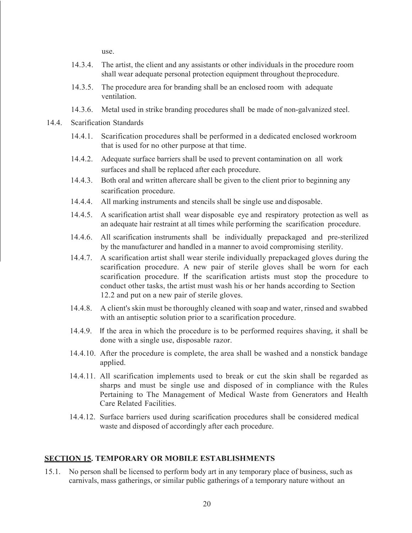use.

- 14.3.4. The artist, the client and any assistants or other individuals in the procedure room shall wear adequate personal protection equipment throughout theprocedure.
- 14.3.5. The procedure area for branding shall be an enclosed room with adequate ventilation.
- 14.3.6. Metal used in strike branding procedures shall be made of non-galvanized steel.
- 14.4. Scarification Standards
	- 14.4.1. Scarification procedures shall be performed in a dedicated enclosed workroom that is used for no other purpose at that time.
	- 14.4.2. Adequate surface barriers shall be used to prevent contamination on all work surfaces and shall be replaced after each procedure.
	- 14.4.3. Both oral and written aftercare shall be given to the client prior to beginning any scarification procedure.
	- 14.4.4. All marking instruments and stencils shall be single use and disposable.
	- 14.4.5. A scarification artist shall wear disposable eye and respiratory protection as well as an adequate hair restraint at all times while performing the scarification procedure.
	- 14.4.6. All scarification instruments shall be individually prepackaged and pre-sterilized by the manufacturer and handled in a manner to avoid compromising sterility.
	- 14.4.7. A scarification artist shall wear sterile individually prepackaged gloves during the scarification procedure. A new pair of sterile gloves shall be worn for each scarification procedure. If the scarification artists must stop the procedure to conduct other tasks, the artist must wash his or her hands according to Section 12.2 and put on a new pair of sterile gloves.
	- 14.4.8. A client'sskin must be thoroughly cleaned with soap and water, rinsed and swabbed with an antiseptic solution prior to a scarification procedure.
	- 14.4.9. If the area in which the procedure is to be performed requires shaving, it shall be done with a single use, disposable razor.
	- 14.4.10. After the procedure is complete, the area shall be washed and a nonstick bandage applied.
	- 14.4.11. All scarification implements used to break or cut the skin shall be regarded as sharps and must be single use and disposed of in compliance with the Rules Pertaining to The Management of Medical Waste from Generators and Health Care Related Facilities.
	- 14.4.12. Surface barriers used during scarification procedures shall be considered medical waste and disposed of accordingly after each procedure.

#### <span id="page-19-0"></span>**SECTION 15. TEMPORARY OR MOBILE ESTABLISHMENTS**

15.1. No person shall be licensed to perform body art in any temporary place of business, such as carnivals, mass gatherings, or similar public gatherings of a temporary nature without an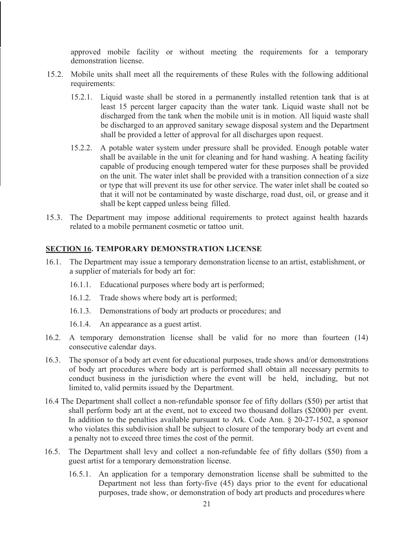approved mobile facility or without meeting the requirements for a temporary demonstration license.

- 15.2. Mobile units shall meet all the requirements of these Rules with the following additional requirements:
	- 15.2.1. Liquid waste shall be stored in a permanently installed retention tank that is at least 15 percent larger capacity than the water tank. Liquid waste shall not be discharged from the tank when the mobile unit is in motion. All liquid waste shall be discharged to an approved sanitary sewage disposal system and the Department shall be provided a letter of approval for all discharges upon request.
	- 15.2.2. A potable water system under pressure shall be provided. Enough potable water shall be available in the unit for cleaning and for hand washing. A heating facility capable of producing enough tempered water for these purposes shall be provided on the unit. The water inlet shall be provided with a transition connection of a size or type that will prevent its use for other service. The water inlet shall be coated so that it will not be contaminated by waste discharge, road dust, oil, or grease and it shall be kept capped unless being filled.
- 15.3. The Department may impose additional requirements to protect against health hazards related to a mobile permanent cosmetic or tattoo unit.

#### **SECTlON 16. TEMPORARY DEMONSTRATION LICENSE**

- 16.1. The Department may issue a temporary demonstration license to an artist, establishment, or a supplier of materials for body art for:
	- 16.1.1. Educational purposes where body art is performed;
	- 16.1.2. Trade shows where body art is performed;
	- 16.1.3. Demonstrations of body art products or procedures; and
	- 16.1.4. An appearance as a guest artist.
- 16.2. A temporary demonstration license shall be valid for no more than fourteen (14) consecutive calendar days.
- 16.3. The sponsor of a body art event for educational purposes, trade shows and/or demonstrations of body art procedures where body art is performed shall obtain all necessary permits to conduct business in the jurisdiction where the event will be held, including, but not limited to, valid permits issued by the Department.
- 16.4 The Department shall collect a non-refundable sponsor fee of fifty dollars (\$50) per artist that shall perform body art at the event, not to exceed two thousand dollars (\$2000) per event. In addition to the penalties available pursuant to Ark. Code Ann. § 20-27-1502, a sponsor who violates this subdivision shall be subject to closure of the temporary body art event and a penalty not to exceed three times the cost of the permit.
- 16.5. The Department shall levy and collect a non-refundable fee of fifty dollars (\$50) from a guest artist for a temporary demonstration license.
	- 16.5.1. An application for a temporary demonstration license shall be submitted to the Department not less than forty-five (45) days prior to the event for educational purposes, trade show, or demonstration of body art products and procedures where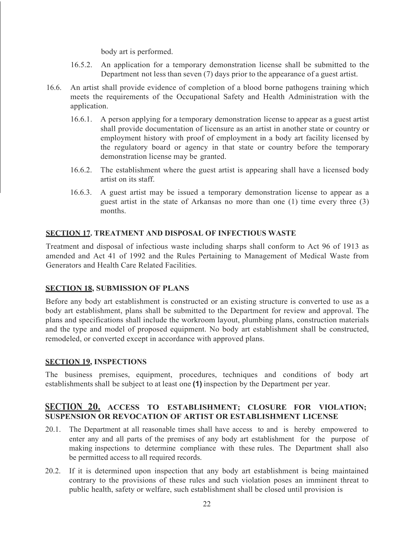body art is performed.

- 16.5.2. An application for a temporary demonstration license shall be submitted to the Department not less than seven (7) days prior to the appearance of a guest artist.
- 16.6. An artist shall provide evidence of completion of a blood borne pathogens training which meets the requirements of the Occupational Safety and Health Administration with the application.
	- 16.6.1. A person applying for a temporary demonstration license to appear as a guest artist shall provide documentation of licensure as an artist in another state or country or employment history with proof of employment in a body art facility licensed by the regulatory board or agency in that state or country before the temporary demonstration license may be granted.
	- 16.6.2. The establishment where the guest artist is appearing shall have a licensed body artist on its staff.
	- 16.6.3. A guest artist may be issued a temporary demonstration license to appear as a guest artist in the state of Arkansas no more than one (1) time every three (3) months.

## <span id="page-21-0"></span>**SECTION 17. TREATMENT AND DISPOSAL OF INFECTIOUS WASTE**

Treatment and disposal of infectious waste including sharps shall conform to Act 96 of 1913 as amended and Act 41 of 1992 and the Rules Pertaining to Management of Medical Waste from Generators and Health Care Related Facilities.

#### <span id="page-21-1"></span>**SECTION 18, SUBMISSION OF PLANS**

Before any body art establishment is constructed or an existing structure is converted to use as a body art establishment, plans shall be submitted to the Department for review and approval. The plans and specifications shall include the workroom layout, plumbing plans, construction materials and the type and model of proposed equipment. No body art establishment shall be constructed, remodeled, or converted except in accordance with approved plans.

#### <span id="page-21-2"></span>**SECTION 19, INSPECTIONS**

The business premises, equipment, procedures, techniques and conditions of body art establishments shall be subject to at least one **(1)** inspection by the Department per year.

## **SECTION 20. ACCESS TO ESTABLISHMENT; CLOSURE FOR VIOLATION; SUSPENSION OR REVOCATION OF ARTIST OR ESTABLISHMENT LICENSE**

- 20.1. The Department at all reasonable times shall have access to and is hereby empowered to enter any and all parts of the premises of any body art establishment for the purpose of making inspections to determine compliance with these rules. The Department shall also be permitted access to all required records.
- 20.2. If it is determined upon inspection that any body art establishment is being maintained contrary to the provisions of these rules and such violation poses an imminent threat to public health, safety or welfare, such establishment shall be closed until provision is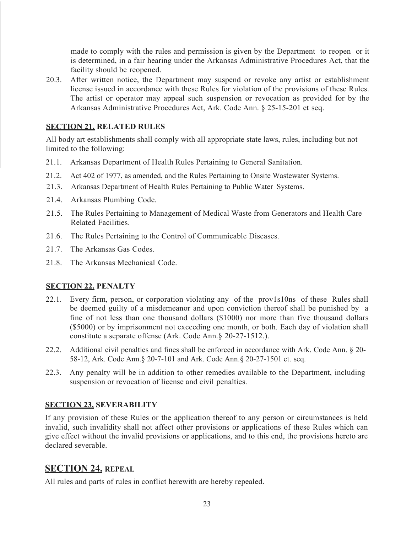made to comply with the rules and permission is given by the Department to reopen or it is determined, in a fair hearing under the Arkansas Administrative Procedures Act, that the facility should be reopened.

20.3. After written notice, the Department may suspend or revoke any artist or establishment license issued in accordance with these Rules for violation of the provisions of these Rules. The artist or operator may appeal such suspension or revocation as provided for by the Arkansas Administrative Procedures Act, Ark. Code Ann. § 25-15-201 et seq.

#### <span id="page-22-0"></span>**SECTION 21. RELATED RULES**

All body art establishments shall comply with all appropriate state laws, rules, including but not limited to the following:

- 21.1. Arkansas Department of Health Rules Pertaining to General Sanitation.
- 21.2. Act 402 of 1977, as amended, and the Rules Pertaining to Onsite Wastewater Systems.
- 21.3. Arkansas Department of Health Rules Pertaining to Public Water Systems.
- 21.4. Arkansas Plumbing Code.
- 21.5. The Rules Pertaining to Management of Medical Waste from Generators and Health Care Related Facilities.
- 21.6. The Rules Pertaining to the Control of Communicable Diseases.
- 21.7. The Arkansas Gas Codes.
- 21.8. The Arkansas Mechanical Code.

## <span id="page-22-1"></span>**SECTION 22, PENALTY**

- 22.1. Every firm, person, or corporation violating any of the prov1s10ns of these Rules shall be deemed guilty of a misdemeanor and upon conviction thereof shall be punished by a fine of not less than one thousand dollars (\$1000) nor more than five thousand dollars (\$5000) or by imprisonment not exceeding one month, or both. Each day of violation shall constitute a separate offense (Ark. Code Ann.§ 20-27-1512.).
- 22.2. Additional civil penalties and fines shall be enforced in accordance with Ark. Code Ann. § 20- 58-12, Ark. Code Ann.§ 20-7-101 and Ark. Code Ann.§ 20-27-1501 et. seq.
- 22.3. Any penalty will be in addition to other remedies available to the Department, including suspension or revocation of license and civil penalties.

## <span id="page-22-2"></span>**SECTION 23, SEVERABILITY**

If any provision of these Rules or the application thereof to any person or circumstances is held invalid, such invalidity shall not affect other provisions or applications of these Rules which can give effect without the invalid provisions or applications, and to this end, the provisions hereto are declared severable.

## **SECTION 24. REPEAL**

All rules and parts of rules in conflict herewith are hereby repealed.